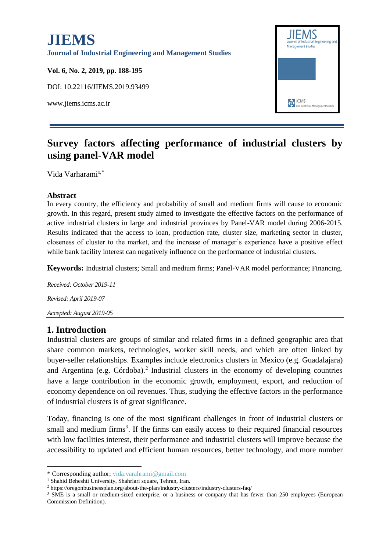

# **Survey factors affecting performance of industrial clusters by using panel-VAR model**

Vida Varharami**<sup>1</sup>**,\*

#### **Abstract**

In every country, the efficiency and probability of small and medium firms will cause to economic growth. In this regard, present study aimed to investigate the effective factors on the performance of active industrial clusters in large and industrial provinces by Panel-VAR model during 2006-2015. Results indicated that the access to loan, production rate, cluster size, marketing sector in cluster, closeness of cluster to the market, and the increase of manager's experience have a positive effect while bank facility interest can negatively influence on the performance of industrial clusters.

**Keywords:** Industrial clusters; Small and medium firms; Panel-VAR model performance; Financing.

*Received: October 2019-11 Revised: April 2019-07 Accepted: August 2019-05*

#### **1. Introduction**

1

Industrial clusters are groups of similar and related firms in a defined geographic area that share common markets, technologies, worker skill needs, and which are often linked by buyer-seller relationships. Examples include electronics clusters in Mexico (e.g. Guadalajara) and Argentina (e.g. Córdoba).<sup>2</sup> Industrial clusters in the economy of developing countries have a large contribution in the economic growth, employment, export, and reduction of economy dependence on oil revenues. Thus, studying the effective factors in the performance of industrial clusters is of great significance.

Today, financing is one of the most significant challenges in front of industrial clusters or small and medium firms<sup>3</sup>. If the firms can easily access to their required financial resources with low facilities interest, their performance and industrial clusters will improve because the accessibility to updated and efficient human resources, better technology, and more number

<sup>\*</sup> Corresponding author; vida.varahrami@gmail.com

<sup>&</sup>lt;sup>1</sup> Shahid Beheshti University, Shahriari square, Tehran, Iran.

<sup>2</sup> [https://oregonbusinessplan.org/about-the-plan/industry-clusters/industry-clusters-faq/](https://www.google.com/url?sa=t&rct=j&q=&esrc=s&source=web&cd=5&cad=rja&uact=8&ved=2ahUKEwiCzdbUk77hAhWGCuwKHamGBTgQFjAEegQICxAI&url=https%3A%2F%2Foregonbusinessplan.org%2Fabout-the-plan%2Findustry-clusters%2Findustry-clusters-faq%2F&usg=AOvVaw13E8kMN_C3UYNOVKHFFuIy)

<sup>&</sup>lt;sup>3</sup> SME is a small or medium-sized enterprise, or a business or company that has fewer than 250 employees (European Commission Definition).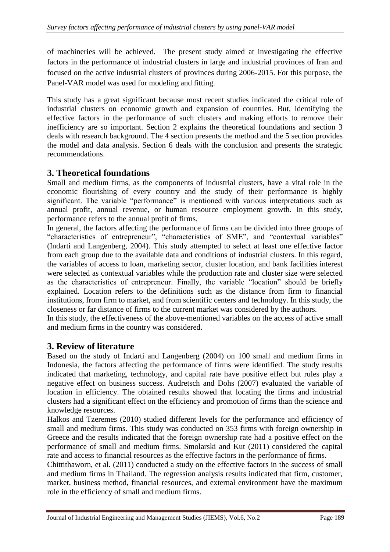of machineries will be achieved. The present study aimed at investigating the effective factors in the performance of industrial clusters in large and industrial provinces of Iran and focused on the active industrial clusters of provinces during 2006-2015. For this purpose, the Panel-VAR model was used for modeling and fitting.

This study has a great significant because most recent studies indicated the critical role of industrial clusters on economic growth and expansion of countries. But, identifying the effective factors in the performance of such clusters and making efforts to remove their inefficiency are so important. Section 2 explains the theoretical foundations and section 3 deals with research background. The 4 section presents the method and the 5 section provides the model and data analysis. Section 6 deals with the conclusion and presents the strategic recommendations.

## **3. Theoretical foundations**

Small and medium firms, as the components of industrial clusters, have a vital role in the economic flourishing of every country and the study of their performance is highly significant. The variable "performance" is mentioned with various interpretations such as annual profit, annual revenue, or human resource employment growth. In this study, performance refers to the annual profit of firms.

In general, the factors affecting the performance of firms can be divided into three groups of "characteristics of entrepreneur", "characteristics of SME", and "contextual variables" (Indarti and Langenberg, 2004). This study attempted to select at least one effective factor from each group due to the available data and conditions of industrial clusters. In this regard, the variables of access to loan, marketing sector, cluster location, and bank facilities interest were selected as contextual variables while the production rate and cluster size were selected as the characteristics of entrepreneur. Finally, the variable "location" should be briefly explained. Location refers to the definitions such as the distance from firm to financial institutions, from firm to market, and from scientific centers and technology. In this study, the closeness or far distance of firms to the current market was considered by the authors.

In this study, the effectiveness of the above-mentioned variables on the access of active small and medium firms in the country was considered.

## **3. Review of literature**

Based on the study of Indarti and Langenberg (2004) on 100 small and medium firms in Indonesia, the factors affecting the performance of firms were identified. The study results indicated that marketing, technology, and capital rate have positive effect but rules play a negative effect on business success. Audretsch and Dohs (2007) evaluated the variable of location in efficiency. The obtained results showed that locating the firms and industrial clusters had a significant effect on the efficiency and promotion of firms than the science and knowledge resources.

Halkos and Tzeremes (2010) studied different levels for the performance and efficiency of small and medium firms. This study was conducted on 353 firms with foreign ownership in Greece and the results indicated that the foreign ownership rate had a positive effect on the performance of small and medium firms. Smolarski and Kut (2011) considered the capital rate and access to financial resources as the effective factors in the performance of firms.

Chittithaworn, et al. (2011) conducted a study on the effective factors in the success of small and medium firms in Thailand. The regression analysis results indicated that firm, customer, market, business method, financial resources, and external environment have the maximum role in the efficiency of small and medium firms.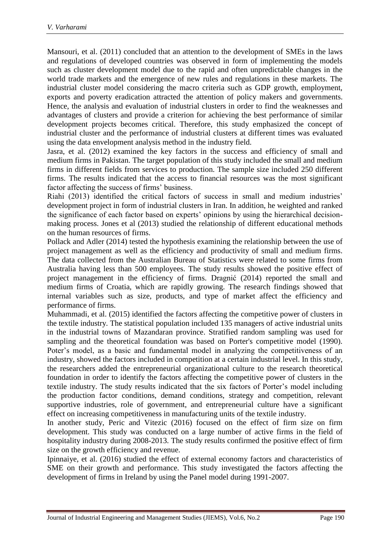Mansouri, et al. (2011) concluded that an attention to the development of SMEs in the laws and regulations of developed countries was observed in form of implementing the models such as cluster development model due to the rapid and often unpredictable changes in the world trade markets and the emergence of new rules and regulations in these markets. The industrial cluster model considering the macro criteria such as GDP growth, employment, exports and poverty eradication attracted the attention of policy makers and governments. Hence, the analysis and evaluation of industrial clusters in order to find the weaknesses and advantages of clusters and provide a criterion for achieving the best performance of similar development projects becomes critical. Therefore, this study emphasized the concept of industrial cluster and the performance of industrial clusters at different times was evaluated using the data envelopment analysis method in the industry field.

Jasra, et al. (2012) examined the key factors in the success and efficiency of small and medium firms in Pakistan. The target population of this study included the small and medium firms in different fields from services to production. The sample size included 250 different firms. The results indicated that the access to financial resources was the most significant factor affecting the success of firms' business.

Riahi (2013) identified the critical factors of success in small and medium industries' development project in form of industrial clusters in Iran. In addition, he weighted and ranked the significance of each factor based on experts' opinions by using the hierarchical decisionmaking process. Jones et al (2013) studied the relationship of different educational methods on the human resources of firms.

Pollack and Adler (2014) tested the hypothesis examining the relationship between the use of project management as well as the efficiency and productivity of small and medium firms. The data collected from the Australian Bureau of Statistics were related to some firms from Australia having less than 500 employees. The study results showed the positive effect of project management in the efficiency of firms. Dragnić (2014) reported the small and medium firms of Croatia, which are rapidly growing. The research findings showed that internal variables such as size, products, and type of market affect the efficiency and performance of firms.

Muhammadi, et al. (2015) identified the factors affecting the competitive power of clusters in the textile industry. The statistical population included 135 managers of active industrial units in the industrial towns of Mazandaran province. Stratified random sampling was used for sampling and the theoretical foundation was based on Porter's competitive model (1990). Poter's model, as a basic and fundamental model in analyzing the competitiveness of an industry, showed the factors included in competition at a certain industrial level. In this study, the researchers added the entrepreneurial organizational culture to the research theoretical foundation in order to identify the factors affecting the competitive power of clusters in the textile industry. The study results indicated that the six factors of Porter's model including the production factor conditions, demand conditions, strategy and competition, relevant supportive industries, role of government, and entrepreneurial culture have a significant effect on increasing competitiveness in manufacturing units of the textile industry.

In another study, Peric and Vitezic (2016) focused on the effect of firm size on firm development. This study was conducted on a large number of active firms in the field of hospitality industry during 2008-2013. The study results confirmed the positive effect of firm size on the growth efficiency and revenue.

Ipinnaiye, et al. (2016) studied the effect of external economy factors and characteristics of SME on their growth and performance. This study investigated the factors affecting the development of firms in Ireland by using the Panel model during 1991-2007.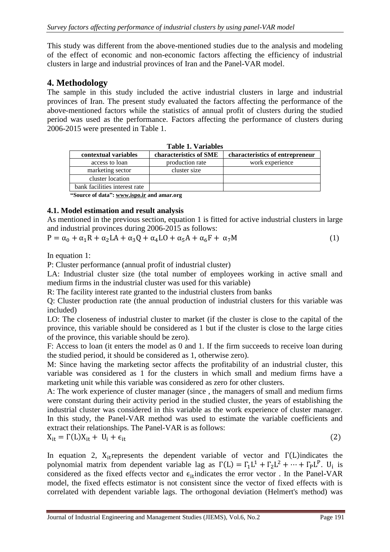This study was different from the above-mentioned studies due to the analysis and modeling of the effect of economic and non-economic factors affecting the efficiency of industrial clusters in large and industrial provinces of Iran and the Panel-VAR model.

### **4. Methodology**

The sample in this study included the active industrial clusters in large and industrial provinces of Iran. The present study evaluated the factors affecting the performance of the above-mentioned factors while the statistics of annual profit of clusters during the studied period was used as the performance. Factors affecting the performance of clusters during 2006-2015 were presented in Table 1.

| contextual variables          | characteristics of SME | characteristics of entrepreneur |
|-------------------------------|------------------------|---------------------------------|
| access to loan                | production rate        | work experience                 |
| marketing sector              | cluster size           |                                 |
| cluster location              |                        |                                 |
| bank facilities interest rate |                        |                                 |
| .                             |                        |                                 |

|  |  |  | Table 1. Variables |
|--|--|--|--------------------|
|--|--|--|--------------------|

**"Source of data": [www.ispo.ir](http://www.ispo.ir/) and amar.org**

#### **4.1. Model estimation and result analysis**

As mentioned in the previous section, equation 1 is fitted for active industrial clusters in large and industrial provinces during 2006-2015 as follows:

 $P = \alpha_0 + \alpha_1 R + \alpha_2 LA + \alpha_3 Q + \alpha_4 LO + \alpha_5 A + \alpha_6 F + \alpha_7 M$  (1)

In equation 1:

P: Cluster performance (annual profit of industrial cluster)

LA: Industrial cluster size (the total number of employees working in active small and medium firms in the industrial cluster was used for this variable)

R: The facility interest rate granted to the industrial clusters from banks

Q: Cluster production rate (the annual production of industrial clusters for this variable was included)

LO: The closeness of industrial cluster to market (if the cluster is close to the capital of the province, this variable should be considered as 1 but if the cluster is close to the large cities of the province, this variable should be zero).

F: Access to loan (it enters the model as 0 and 1. If the firm succeeds to receive loan during the studied period, it should be considered as 1, otherwise zero).

M: Since having the marketing sector affects the profitability of an industrial cluster, this variable was considered as 1 for the clusters in which small and medium firms have a marketing unit while this variable was considered as zero for other clusters.

A: The work experience of cluster manager (since , the managers of small and medium firms were constant during their activity period in the studied cluster, the years of establishing the industrial cluster was considered in this variable as the work experience of cluster manager. In this study, the Panel-VAR method was used to estimate the variable coefficients and extract their relationships. The Panel-VAR is as follows:

$$
X_{it} = \Gamma(L)X_{it} + U_i + \epsilon_{it} \tag{2}
$$

In equation 2,  $X_{i}$  represents the dependent variable of vector and  $\Gamma(L)$  indicates the polynomial matrix from dependent variable lag as  $\Gamma(L) = \Gamma_1 L^1 + \Gamma_2 L^2 + \cdots + \Gamma_p L^p$ . U<sub>i</sub> is considered as the fixed effects vector and  $\epsilon_{it}$  indicates the error vector. In the Panel-VAR model, the fixed effects estimator is not consistent since the vector of fixed effects with is correlated with dependent variable lags. The orthogonal deviation (Helmert's method) was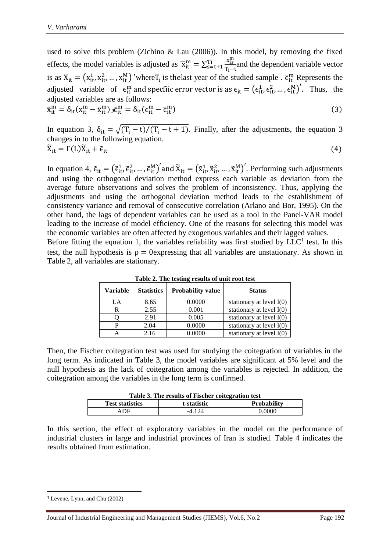used to solve this problem (Zichino & Lau (2006)). In this model, by removing the fixed effects, the model variables is adjusted as  $\overline{x}_{it}^{m} = \sum_{s=t+1}^{T_i} \frac{x_{is}^{m}}{T_i}$  $T_i-t$  $T_{s=t+1}^{i} \frac{x_{is}}{x_{i-t}}$  and the dependent variable vector is as  $X_{it} = (x_{it}^1, x_{it}^2, ..., x_{it}^M)$  'where  $T_i$  is the last year of the studied sample.  $\bar{\epsilon}_{it}^m$  Represents the adjusted variable of  $\epsilon_{it}^{m}$  and specfiic error vector is as  $\epsilon_{it} = (\epsilon_{it}^{1}, \epsilon_{it}^{2}, ..., \epsilon_{it}^{M})'$ . Thus, the adjusted variables are as follows:

$$
\tilde{\mathbf{x}}_{it}^{m} = \delta_{it} (\mathbf{x}_{it}^{m} - \overline{\mathbf{x}}_{it}^{m}) \mathbf{s} \tilde{\epsilon}_{it}^{m} = \delta_{it} (\epsilon_{it}^{m} - \overline{\epsilon}_{it}^{m})
$$
\n(3)

In equation 3,  $\delta_{it} = \sqrt{(T_i - t)/(T_i - t + 1)}$ . Finally, after the adjustments, the equation 3 changes in to the following equation.  $\widetilde{X}_{it} = \Gamma(L)\widetilde{X}_{it} + \widetilde{\epsilon}_{it}$  (4)

In equation 4,  $\tilde{\epsilon}_{it} = (\tilde{\epsilon}_{it}^1, \tilde{\epsilon}_{it}^2, ..., \tilde{\epsilon}_{it}^M)'$  and  $\tilde{X}_{it} = (\tilde{X}_{it}^1, \tilde{X}_{it}^2, ..., \tilde{X}_{it}^M)'$ . Performing such adjustments and using the orthogonal deviation method express each variable as deviation from the average future observations and solves the problem of inconsistency. Thus, applying the adjustments and using the orthogonal deviation method leads to the establishment of consistency variance and removal of consecutive correlation (Arlano and Bor, 1995). On the other hand, the lags of dependent variables can be used as a tool in the Panel-VAR model leading to the increase of model efficiency. One of the reasons for selecting this model was the economic variables are often affected by exogenous variables and their lagged values.

Before fitting the equation 1, the variables reliability was first studied by  $LLC<sup>1</sup>$  test. In this test, the null hypothesis is  $\rho = 0$ expressing that all variables are unstationary. As shown in Table 2, all variables are stationary.

| Variable | <b>Statistics</b> | <b>Probability value</b> | <b>Status</b>              |
|----------|-------------------|--------------------------|----------------------------|
| LA       | 8.65              | 0.0000                   | stationary at level $I(0)$ |
|          | 2.55              | 0.001                    | stationary at level $I(0)$ |
|          | 2.91              | 0.005                    | stationary at level $I(0)$ |
|          | 2.04              | 0.0000                   | stationary at level $I(0)$ |
|          | 2.16              | 0.0000                   | stationary at level $I(0)$ |

**Table 2. The testing results of unit root test**

Then, the Fischer coitegration test was used for studying the coitegration of variables in the long term. As indicated in Table 3, the model variables are significant at 5% level and the null hypothesis as the lack of coitegration among the variables is rejected. In addition, the coitegration among the variables in the long term is confirmed.

|  | Table 3. The results of Fischer coitegration test |  |
|--|---------------------------------------------------|--|
|  |                                                   |  |

| $-$ 000 - 000 - 0000 - 0000 - 0000 - 00000 - 00000 - 00000 - 00000 |             |                    |  |  |  |  |  |
|--------------------------------------------------------------------|-------------|--------------------|--|--|--|--|--|
| <b>Test statistics</b>                                             | t-statistic | <b>Probability</b> |  |  |  |  |  |
| ADF                                                                |             | 0.0000             |  |  |  |  |  |

In this section, the effect of exploratory variables in the model on the performance of industrial clusters in large and industrial provinces of Iran is studied. Table 4 indicates the results obtained from estimation.

 $\overline{\phantom{a}}$ <sup>1</sup> Levene, Lynn, and Chu (2002)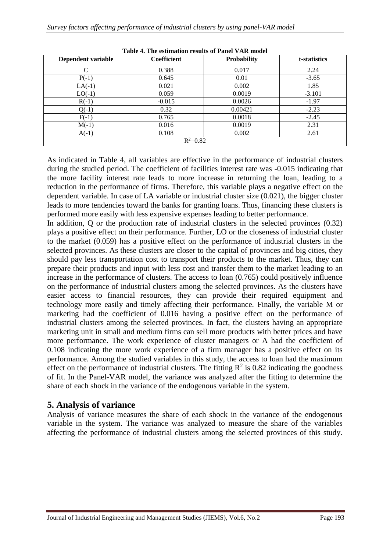| Dependent variable | <b>Coefficient</b> | <b>Probability</b> | t-statistics |  |  |
|--------------------|--------------------|--------------------|--------------|--|--|
| C                  | 0.388              | 0.017              | 2.24         |  |  |
| $P(-1)$            | 0.645              | 0.01               | $-3.65$      |  |  |
| $LA(-1)$           | 0.021              | 0.002              | 1.85         |  |  |
| $LO(-1)$           | 0.059              | 0.0019             | $-3.101$     |  |  |
| $R(-1)$            | $-0.015$           | 0.0026             | $-1.97$      |  |  |
| $Q(-1)$            | 0.32               | 0.00421            | $-2.23$      |  |  |
| $F(-1)$            | 0.765              | 0.0018             | $-2.45$      |  |  |
| $M(-1)$            | 0.016              | 0.0019             | 2.31         |  |  |
| $A(-1)$            | 0.108              | 0.002              | 2.61         |  |  |
| $R^2 = 0.82$       |                    |                    |              |  |  |

**Table 4. The estimation results of Panel VAR model**

As indicated in Table 4, all variables are effective in the performance of industrial clusters during the studied period. The coefficient of facilities interest rate was -0.015 indicating that the more facility interest rate leads to more increase in returning the loan, leading to a reduction in the performance of firms. Therefore, this variable plays a negative effect on the dependent variable. In case of LA variable or industrial cluster size (0.021), the bigger cluster leads to more tendencies toward the banks for granting loans. Thus, financing these clusters is performed more easily with less expensive expenses leading to better performance.

In addition, Q or the production rate of industrial clusters in the selected provinces (0.32) plays a positive effect on their performance. Further, LO or the closeness of industrial cluster to the market (0.059) has a positive effect on the performance of industrial clusters in the selected provinces. As these clusters are closer to the capital of provinces and big cities, they should pay less transportation cost to transport their products to the market. Thus, they can prepare their products and input with less cost and transfer them to the market leading to an increase in the performance of clusters. The access to loan (0.765) could positively influence on the performance of industrial clusters among the selected provinces. As the clusters have easier access to financial resources, they can provide their required equipment and technology more easily and timely affecting their performance. Finally, the variable M or marketing had the coefficient of 0.016 having a positive effect on the performance of industrial clusters among the selected provinces. In fact, the clusters having an appropriate marketing unit in small and medium firms can sell more products with better prices and have more performance. The work experience of cluster managers or A had the coefficient of 0.108 indicating the more work experience of a firm manager has a positive effect on its performance. Among the studied variables in this study, the access to loan had the maximum effect on the performance of industrial clusters. The fitting  $\mathbb{R}^2$  is 0.82 indicating the goodness of fit. In the Panel-VAR model, the variance was analyzed after the fitting to determine the share of each shock in the variance of the endogenous variable in the system.

#### **5. Analysis of variance**

Analysis of variance measures the share of each shock in the variance of the endogenous variable in the system. The variance was analyzed to measure the share of the variables affecting the performance of industrial clusters among the selected provinces of this study.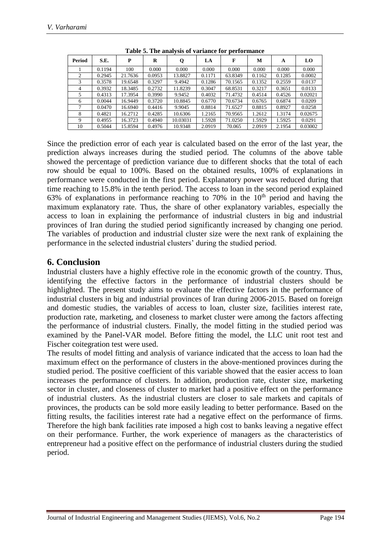| Period | S.E.   | P       | R      | Q        | LA     | F       | M      | A      | LO      |
|--------|--------|---------|--------|----------|--------|---------|--------|--------|---------|
|        | 0.1194 | 100     | 0.000  | 0.000    | 0.000  | 0.000   | 0.000  | 0.000  | 0.000   |
| 2      | 0.2945 | 21.7636 | 0.0953 | 13.8827  | 0.1171 | 63.8349 | 0.1162 | 0.1285 | 0.0002  |
| 3      | 0.3578 | 19.6548 | 0.3297 | 9.4942   | 0.1286 | 70.1565 | 0.1352 | 0.2559 | 0.0137  |
| 4      | 0.3932 | 18.3485 | 0.2732 | 11.8239  | 0.3047 | 68.8531 | 0.3217 | 0.3651 | 0.0133  |
|        | 0.4313 | 17.3954 | 0.3990 | 9.9452   | 0.4032 | 71.4732 | 0.4514 | 0.4526 | 0.02021 |
| 6      | 0.0044 | 16.9449 | 0.3720 | 10.8845  | 0.6770 | 70.6734 | 0.6765 | 0.6874 | 0.0209  |
|        | 0.0470 | 16.6940 | 0.4416 | 9.9045   | 0.8814 | 71.6527 | 0.8815 | 0.8927 | 0.0258  |
| 8      | 0.4821 | 16.2712 | 0.4285 | 10.6306  | 1.2165 | 70.9565 | 1.2612 | 1.3174 | 0.02675 |
| 9      | 0.4955 | 16.3723 | 0.4940 | 10.03031 | 1.5928 | 71.0250 | 1.5929 | 1.5925 | 0.0291  |
| 10     | 0.5044 | 15.8594 | 0.4976 | 10.9348  | 2.0919 | 70.065  | 2.0919 | 2.1954 | 0.03002 |

**Table 5. The analysis of variance for performance**

Since the prediction error of each year is calculated based on the error of the last year, the prediction always increases during the studied period. The columns of the above table showed the percentage of prediction variance due to different shocks that the total of each row should be equal to 100%. Based on the obtained results, 100% of explanations in performance were conducted in the first period. Explanatory power was reduced during that time reaching to 15.8% in the tenth period. The access to loan in the second period explained 63% of explanations in performance reaching to 70% in the  $10<sup>th</sup>$  period and having the maximum explanatory rate. Thus, the share of other explanatory variables, especially the access to loan in explaining the performance of industrial clusters in big and industrial provinces of Iran during the studied period significantly increased by changing one period. The variables of production and industrial cluster size were the next rank of explaining the performance in the selected industrial clusters' during the studied period.

#### **6. Conclusion**

Industrial clusters have a highly effective role in the economic growth of the country. Thus, identifying the effective factors in the performance of industrial clusters should be highlighted. The present study aims to evaluate the effective factors in the performance of industrial clusters in big and industrial provinces of Iran during 2006-2015. Based on foreign and domestic studies, the variables of access to loan, cluster size, facilities interest rate, production rate, marketing, and closeness to market cluster were among the factors affecting the performance of industrial clusters. Finally, the model fitting in the studied period was examined by the Panel-VAR model. Before fitting the model, the LLC unit root test and Fischer coitegration test were used.

The results of model fitting and analysis of variance indicated that the access to loan had the maximum effect on the performance of clusters in the above-mentioned provinces during the studied period. The positive coefficient of this variable showed that the easier access to loan increases the performance of clusters. In addition, production rate, cluster size, marketing sector in cluster, and closeness of cluster to market had a positive effect on the performance of industrial clusters. As the industrial clusters are closer to sale markets and capitals of provinces, the products can be sold more easily leading to better performance. Based on the fitting results, the facilities interest rate had a negative effect on the performance of firms. Therefore the high bank facilities rate imposed a high cost to banks leaving a negative effect on their performance. Further, the work experience of managers as the characteristics of entrepreneur had a positive effect on the performance of industrial clusters during the studied period.